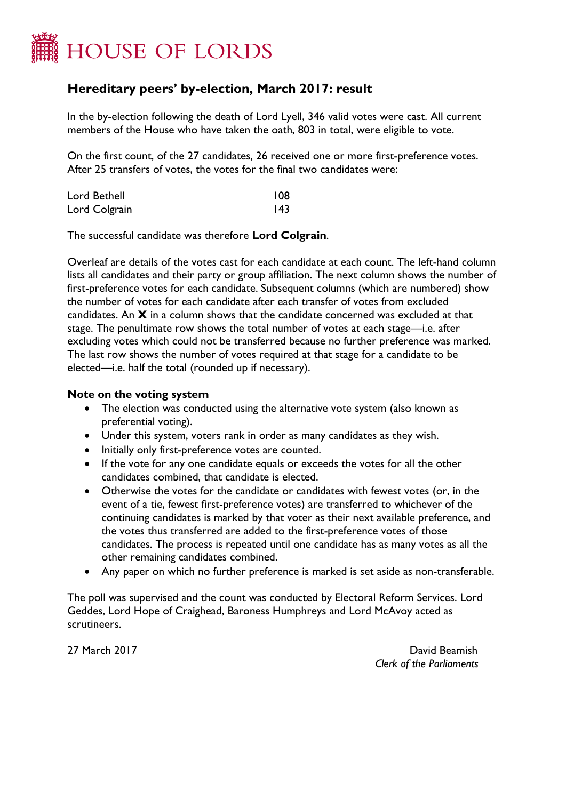

## **Hereditary peers' by-election, March 2017: result**

In the by-election following the death of Lord Lyell, 346 valid votes were cast. All current members of the House who have taken the oath, 803 in total, were eligible to vote.

On the first count, of the 27 candidates, 26 received one or more first-preference votes. After 25 transfers of votes, the votes for the final two candidates were:

| Lord Bethell  | 108 |
|---------------|-----|
| Lord Colgrain | 43  |

The successful candidate was therefore **Lord Colgrain**.

Overleaf are details of the votes cast for each candidate at each count. The left-hand column lists all candidates and their party or group affiliation. The next column shows the number of first-preference votes for each candidate. Subsequent columns (which are numbered) show the number of votes for each candidate after each transfer of votes from excluded candidates. An **X** in a column shows that the candidate concerned was excluded at that stage. The penultimate row shows the total number of votes at each stage—i.e. after excluding votes which could not be transferred because no further preference was marked. The last row shows the number of votes required at that stage for a candidate to be elected—i.e. half the total (rounded up if necessary).

## **Note on the voting system**

- The election was conducted using the alternative vote system (also known as preferential voting).
- Under this system, voters rank in order as many candidates as they wish.
- Initially only first-preference votes are counted.
- If the vote for any one candidate equals or exceeds the votes for all the other candidates combined, that candidate is elected.
- Otherwise the votes for the candidate or candidates with fewest votes (or, in the event of a tie, fewest first-preference votes) are transferred to whichever of the continuing candidates is marked by that voter as their next available preference, and the votes thus transferred are added to the first-preference votes of those candidates. The process is repeated until one candidate has as many votes as all the other remaining candidates combined.
- Any paper on which no further preference is marked is set aside as non-transferable.

The poll was supervised and the count was conducted by Electoral Reform Services. Lord Geddes, Lord Hope of Craighead, Baroness Humphreys and Lord McAvoy acted as scrutineers.

27 March 2017 David Beamish *Clerk of the Parliaments*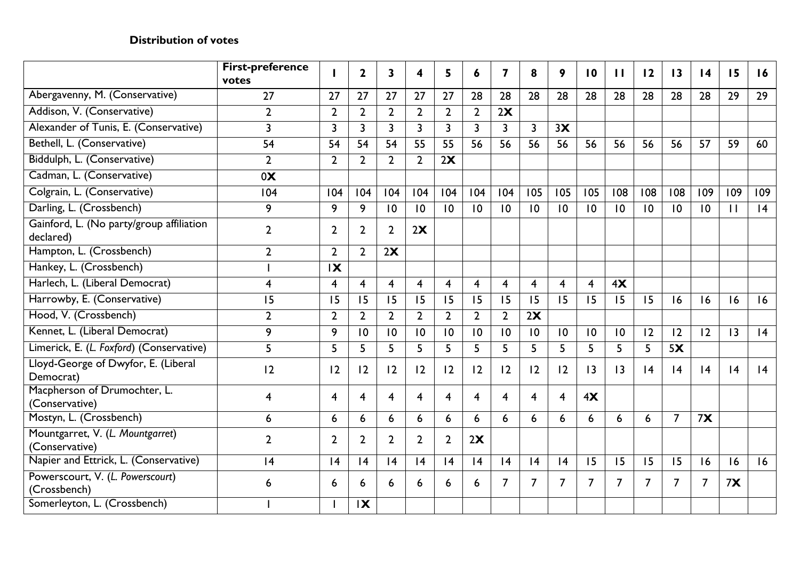## **Distribution of votes**

|                                                       | <b>First-preference</b><br>votes |                | $\mathbf{2}$   | $\mathbf{3}$   | 4              | 5              | 6              | 7                       | 8              | 9              | $\overline{10}$ | $\mathbf{H}$    | 12              | $\overline{13}$ | $\overline{14}$ | 15           | 16  |
|-------------------------------------------------------|----------------------------------|----------------|----------------|----------------|----------------|----------------|----------------|-------------------------|----------------|----------------|-----------------|-----------------|-----------------|-----------------|-----------------|--------------|-----|
| Abergavenny, M. (Conservative)                        | 27                               | 27             | 27             | 27             | 27             | 27             | 28             | 28                      | 28             | 28             | 28              | 28              | 28              | 28              | 28              | 29           | 29  |
| Addison, V. (Conservative)                            | $\overline{2}$                   | $\overline{2}$ | $\overline{2}$ | $\overline{2}$ | $\overline{2}$ | $\overline{2}$ | $\overline{2}$ | 2x                      |                |                |                 |                 |                 |                 |                 |              |     |
| Alexander of Tunis, E. (Conservative)                 | $\overline{3}$                   | $\overline{3}$ | $\overline{3}$ | $\overline{3}$ | $\overline{3}$ | $\overline{3}$ | $\overline{3}$ | $\overline{3}$          | $\overline{3}$ | 3X             |                 |                 |                 |                 |                 |              |     |
| Bethell, L. (Conservative)                            | 54                               | 54             | 54             | 54             | 55             | 55             | 56             | 56                      | 56             | 56             | 56              | 56              | 56              | 56              | 57              | 59           | 60  |
| Biddulph, L. (Conservative)                           | $\overline{2}$                   | $\overline{2}$ | $\overline{2}$ | $\overline{2}$ | $\overline{2}$ | 2X             |                |                         |                |                |                 |                 |                 |                 |                 |              |     |
| Cadman, L. (Conservative)                             | 0 <sup>X</sup>                   |                |                |                |                |                |                |                         |                |                |                 |                 |                 |                 |                 |              |     |
| Colgrain, L. (Conservative)                           | 104                              | 104            | 104            | 104            | 104            | 104            | 104            | 104                     | 105            | 105            | 105             | 108             | 108             | 108             | 109             | 109          | 109 |
| Darling, L. (Crossbench)                              | 9                                | 9              | 9              | 10             | 10             | 10             | 10             | $\overline{10}$         | 10             | 10             | 10              | 10              | $\overline{10}$ | $\overline{10}$ | 10              | $\mathbf{1}$ | 4   |
| Gainford, L. (No party/group affiliation<br>declared) | $\overline{2}$                   | $\overline{2}$ | $\overline{2}$ | $\overline{2}$ | 2X             |                |                |                         |                |                |                 |                 |                 |                 |                 |              |     |
| Hampton, L. (Crossbench)                              | $\overline{2}$                   | $\overline{2}$ | $\overline{2}$ | 2X             |                |                |                |                         |                |                |                 |                 |                 |                 |                 |              |     |
| Hankey, L. (Crossbench)                               |                                  | $\mathbf{X}$   |                |                |                |                |                |                         |                |                |                 |                 |                 |                 |                 |              |     |
| Harlech, L. (Liberal Democrat)                        | 4                                | 4              | $\overline{4}$ | $\overline{4}$ | $\overline{4}$ | $\overline{4}$ | $\overline{4}$ | $\overline{\mathbf{4}}$ | $\overline{4}$ | $\overline{4}$ | $\overline{4}$  | 4X              |                 |                 |                 |              |     |
| Harrowby, E. (Conservative)                           | 15                               | 15             | 15             | 15             | 15             | 15             | 15             | 15                      | 15             | 15             | 15              | 15              | 15              | 16              | 16              | 16           | 16  |
| Hood, V. (Crossbench)                                 | $\overline{2}$                   | $\overline{2}$ | $\overline{2}$ | $\overline{2}$ | $\overline{2}$ | $\overline{2}$ | $\overline{2}$ | $\overline{2}$          | 2X             |                |                 |                 |                 |                 |                 |              |     |
| Kennet, L. (Liberal Democrat)                         | 9                                | 9              | 10             | 10             | 10             | 10             | 10             | $\overline{10}$         | 10             | 10             | 10              | $\overline{10}$ | 12              | 12              | 12              | 3            | 4   |
| Limerick, E. (L. Foxford) (Conservative)              | 5                                | 5              | 5              | 5              | 5              | 5              | 5              | 5                       | 5 <sup>5</sup> | 5              | 5               | 5               | 5               | 5X              |                 |              |     |
| Lloyd-George of Dwyfor, E. (Liberal<br>Democrat)      | 12                               | 12             | 12             | 12             | 2              | 2              | $ 2\rangle$    | 12                      | 12             | 12             | $\overline{13}$ | 3               | 4               | 4               | 4               | 4            | 4   |
| Macpherson of Drumochter, L.<br>(Conservative)        | 4                                | 4              | $\overline{4}$ | $\overline{4}$ | $\overline{4}$ | $\overline{4}$ | $\overline{4}$ | 4                       | $\overline{4}$ | $\overline{4}$ | 4X              |                 |                 |                 |                 |              |     |
| Mostyn, L. (Crossbench)                               | 6                                | 6              | 6              | 6              | 6              | 6              | 6              | 6                       | 6              | 6              | 6               | 6               | 6               | $\overline{7}$  | 7x              |              |     |
| Mountgarret, V. (L. Mountgarret)<br>(Conservative)    | $\overline{2}$                   | $\mathbf{2}$   | $\overline{2}$ | $\overline{2}$ | $\overline{2}$ | $\overline{2}$ | 2X             |                         |                |                |                 |                 |                 |                 |                 |              |     |
| Napier and Ettrick, L. (Conservative)                 | 4                                | 4              | 4              | 4              | 4              | 4              | 4              | 4                       | 4              | 4              | 15              | 15              | 15              | 15              | 16              | 16           | 16  |
| Powerscourt, V. (L. Powerscourt)<br>(Crossbench)      | 6                                | 6              | 6              | 6              | 6              | 6              | 6              | $\overline{7}$          | $\overline{7}$ | $\overline{7}$ | $\overline{7}$  | $\overline{7}$  | $\overline{7}$  | $\overline{7}$  | 7               | 7x           |     |
| Somerleyton, L. (Crossbench)                          |                                  |                | $\mathbf{X}$   |                |                |                |                |                         |                |                |                 |                 |                 |                 |                 |              |     |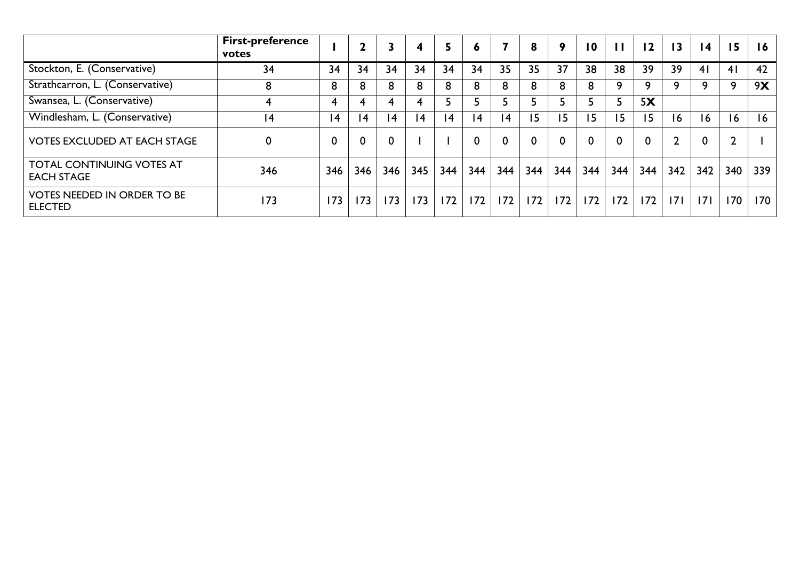|                                                       | <b>First-preference</b><br>votes |                |                 |                 | 4        | 5   | O   |           | 8        | 9   | $\overline{10}$ | $\mathbf{H}$ | 12  | $\overline{13}$ | $\overline{14}$ | 15             | 16  |
|-------------------------------------------------------|----------------------------------|----------------|-----------------|-----------------|----------|-----|-----|-----------|----------|-----|-----------------|--------------|-----|-----------------|-----------------|----------------|-----|
| Stockton, E. (Conservative)                           | 34                               | 34             | 34              | 34              | 34       | 34  | 34  | 35        | 35       | 37  | 38              | 38           | 39  | 39              | 41              | 4 <sub>1</sub> | 42  |
| Strathcarron, L. (Conservative)                       | 8                                | 8              | 8               | 8               | 8        | 8   | 8   | 8         | 8        | 8   | 8               | 9            | 9   | Q               | q               | q              | 9X  |
| Swansea, L. (Conservative)                            |                                  |                |                 |                 |          |     |     |           |          |     |                 | э            | 5X  |                 |                 |                |     |
| Windlesham, L. (Conservative)                         | 14                               | $\overline{4}$ | $\overline{14}$ | $\overline{14}$ | <b>4</b> | 4   | 4   | <b>14</b> | 15       | 15  | 15              | 15           | 15  | 6               | $\overline{6}$  | 16             | 16  |
| <b>VOTES EXCLUDED AT EACH STAGE</b>                   | 0                                |                |                 |                 |          |     |     | 0         | $\Omega$ |     | $\mathbf 0$     | $\Omega$     | 0   |                 | $\bf{0}$        |                |     |
| <b>TOTAL CONTINUING VOTES AT</b><br><b>EACH STAGE</b> | 346                              | 346            | 346             | 346             | 345      | 344 | 344 | 344       | 344      | 344 | 344             | 344          | 344 | 342             | 342             | 340            | 339 |
| <b>VOTES NEEDED IN ORDER TO BE</b><br><b>ELECTED</b>  | 173                              | 173            | 173             | 173             | 173      | 172 | 172 | 172       | 172      | 172 | 172             | 172          | 172 | 7               | 7               | 170            | 170 |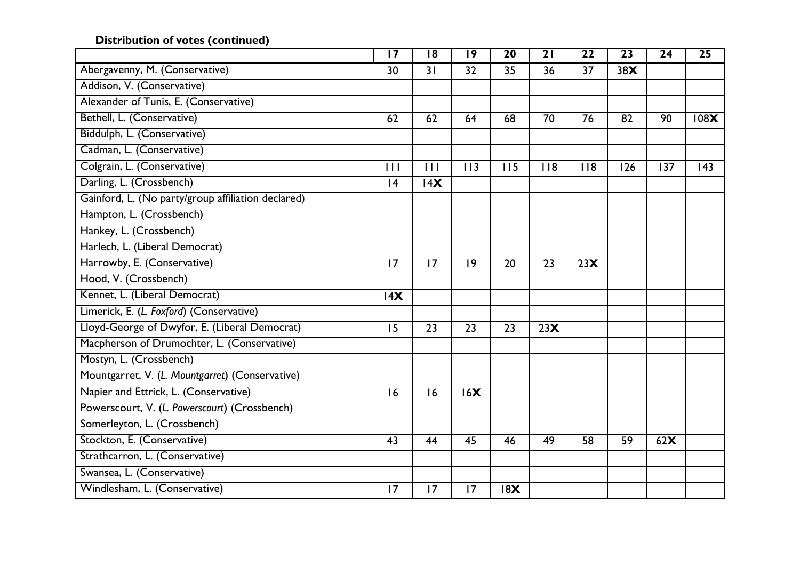## **Distribution of votes (continued)**

|                                                    | $\overline{17}$ | 18  | 19  | 20  | 21  | 22  | 23  | 24  | 25   |
|----------------------------------------------------|-----------------|-----|-----|-----|-----|-----|-----|-----|------|
| Abergavenny, M. (Conservative)                     | 30              | 31  | 32  | 35  | 36  | 37  | 38X |     |      |
| Addison, V. (Conservative)                         |                 |     |     |     |     |     |     |     |      |
| Alexander of Tunis, E. (Conservative)              |                 |     |     |     |     |     |     |     |      |
| Bethell, L. (Conservative)                         | 62              | 62  | 64  | 68  | 70  | 76  | 82  | 90  | 108X |
| Biddulph, L. (Conservative)                        |                 |     |     |     |     |     |     |     |      |
| Cadman, L. (Conservative)                          |                 |     |     |     |     |     |     |     |      |
| Colgrain, L. (Conservative)                        | 11              | 111 | 113 | 115 | 118 | 118 | 126 | 137 | 143  |
| Darling, L. (Crossbench)                           | 4               | 14X |     |     |     |     |     |     |      |
| Gainford, L. (No party/group affiliation declared) |                 |     |     |     |     |     |     |     |      |
| Hampton, L. (Crossbench)                           |                 |     |     |     |     |     |     |     |      |
| Hankey, L. (Crossbench)                            |                 |     |     |     |     |     |     |     |      |
| Harlech, L. (Liberal Democrat)                     |                 |     |     |     |     |     |     |     |      |
| Harrowby, E. (Conservative)                        | 17              | 17  | 9   | 20  | 23  | 23X |     |     |      |
| Hood, V. (Crossbench)                              |                 |     |     |     |     |     |     |     |      |
| Kennet, L. (Liberal Democrat)                      | 14X             |     |     |     |     |     |     |     |      |
| Limerick, E. (L. Foxford) (Conservative)           |                 |     |     |     |     |     |     |     |      |
| Lloyd-George of Dwyfor, E. (Liberal Democrat)      | 15              | 23  | 23  | 23  | 23X |     |     |     |      |
| Macpherson of Drumochter, L. (Conservative)        |                 |     |     |     |     |     |     |     |      |
| Mostyn, L. (Crossbench)                            |                 |     |     |     |     |     |     |     |      |
| Mountgarret, V. (L. Mountgarret) (Conservative)    |                 |     |     |     |     |     |     |     |      |
| Napier and Ettrick, L. (Conservative)              | 16              | 16  | 16X |     |     |     |     |     |      |
| Powerscourt, V. (L. Powerscourt) (Crossbench)      |                 |     |     |     |     |     |     |     |      |
| Somerleyton, L. (Crossbench)                       |                 |     |     |     |     |     |     |     |      |
| Stockton, E. (Conservative)                        | 43              | 44  | 45  | 46  | 49  | 58  | 59  | 62X |      |
| Strathcarron, L. (Conservative)                    |                 |     |     |     |     |     |     |     |      |
| Swansea, L. (Conservative)                         |                 |     |     |     |     |     |     |     |      |
| Windlesham, L. (Conservative)                      | 17              | 17  | 17  | 18X |     |     |     |     |      |